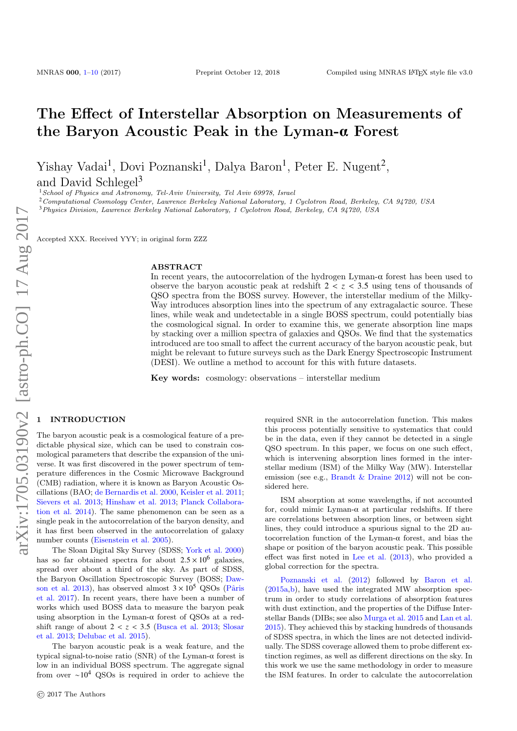# The Effect of Interstellar Absorption on Measurements of the Baryon Acoustic Peak in the Lyman-α Forest

Yishay Vadai<sup>1</sup>, Dovi Poznanski<sup>1</sup>, Dalya Baron<sup>1</sup>, Peter E. Nugent<sup>2</sup>,

and David Schlegel<sup>3</sup>

<sup>1</sup> School of Physics and Astronomy, Tel-Aviv University, Tel Aviv 69978, Israel

<sup>2</sup>Computational Cosmology Center, Lawrence Berkeley National Laboratory, 1 Cyclotron Road, Berkeley, CA 94720, USA

<sup>3</sup> Physics Division, Lawrence Berkeley National Laboratory, 1 Cyclotron Road, Berkeley, CA 94720, USA

Accepted XXX. Received YYY; in original form ZZZ

#### ABSTRACT

In recent years, the autocorrelation of the hydrogen Lyman-α forest has been used to observe the baryon acoustic peak at redshift  $2 < z < 3.5$  using tens of thousands of QSO spectra from the BOSS survey. However, the interstellar medium of the Milky-Way introduces absorption lines into the spectrum of any extragalactic source. These lines, while weak and undetectable in a single BOSS spectrum, could potentially bias the cosmological signal. In order to examine this, we generate absorption line maps by stacking over a million spectra of galaxies and QSOs. We find that the systematics introduced are too small to affect the current accuracy of the baryon acoustic peak, but might be relevant to future surveys such as the Dark Energy Spectroscopic Instrument (DESI). We outline a method to account for this with future datasets.

Key words: cosmology: observations – interstellar medium

# <span id="page-0-0"></span>**INTRODUCTION**

The baryon acoustic peak is a cosmological feature of a predictable physical size, which can be used to constrain cosmological parameters that describe the expansion of the universe. It was first discovered in the power spectrum of temperature differences in the Cosmic Microwave Background (CMB) radiation, where it is known as Baryon Acoustic Oscillations (BAO; [de Bernardis et al.](#page-9-1) [2000,](#page-9-1) [Keisler et al.](#page-9-2) [2011;](#page-9-2) [Sievers et al.](#page-9-3) [2013;](#page-9-3) [Hinshaw et al.](#page-9-4) [2013;](#page-9-4) [Planck Collabora](#page-9-5)[tion et al.](#page-9-5) [2014\)](#page-9-5). The same phenomenon can be seen as a single peak in the autocorrelation of the baryon density, and it has first been observed in the autocorrelation of galaxy number counts [\(Eisenstein et al.](#page-9-6) [2005\)](#page-9-6).

The Sloan Digital Sky Survey (SDSS; [York et al.](#page-9-7) [2000\)](#page-9-7) has so far obtained spectra for about  $2.5 \times 10^6$  galaxies, spread over about a third of the sky. As part of SDSS, the Baryon Oscillation Spectroscopic Survey (BOSS; [Daw](#page-9-8)[son et al.](#page-9-8) [2013\)](#page-9-8), has observed almost  $3 \times 10^5$  QSOs (Pâris [et al.](#page-9-9) [2017\)](#page-9-9). In recent years, there have been a number of works which used BOSS data to measure the baryon peak using absorption in the Lyman- $\alpha$  forest of QSOs at a redshift range of about  $2 < z < 3.5$  [\(Busca et al.](#page-9-10) [2013;](#page-9-10) [Slosar](#page-9-11) [et al.](#page-9-11) [2013;](#page-9-11) [Delubac et al.](#page-9-12) [2015\)](#page-9-12).

The baryon acoustic peak is a weak feature, and the typical signal-to-noise ratio (SNR) of the Lyman- $\alpha$  forest is low in an individual BOSS spectrum. The aggregate signal from over  $~\sim 10^4$  QSOs is required in order to achieve the

required SNR in the autocorrelation function. This makes this process potentially sensitive to systematics that could be in the data, even if they cannot be detected in a single QSO spectrum. In this paper, we focus on one such effect, which is intervening absorption lines formed in the interstellar medium (ISM) of the Milky Way (MW). Interstellar emission (see e.g., [Brandt & Draine](#page-9-13) [2012\)](#page-9-13) will not be considered here.

ISM absorption at some wavelengths, if not accounted for, could mimic Lyman- $\alpha$  at particular redshifts. If there are correlations between absorption lines, or between sight lines, they could introduce a spurious signal to the 2D autocorrelation function of the Lyman-α forest, and bias the shape or position of the baryon acoustic peak. This possible effect was first noted in [Lee et al.](#page-9-14) [\(2013\)](#page-9-14), who provided a global correction for the spectra.

[Poznanski et al.](#page-9-15) [\(2012\)](#page-9-15) followed by [Baron et al.](#page-9-16)  $(2015a,b)$  $(2015a,b)$ , have used the integrated MW absorption spectrum in order to study correlations of absorption features with dust extinction, and the properties of the Diffuse Interstellar Bands (DIBs; see also [Murga et al.](#page-9-18) [2015](#page-9-18) and [Lan et al.](#page-9-19) [2015\)](#page-9-19). They achieved this by stacking hundreds of thousands of SDSS spectra, in which the lines are not detected individually. The SDSS coverage allowed them to probe different extinction regimes, as well as different directions on the sky. In this work we use the same methodology in order to measure the ISM features. In order to calculate the autocorrelation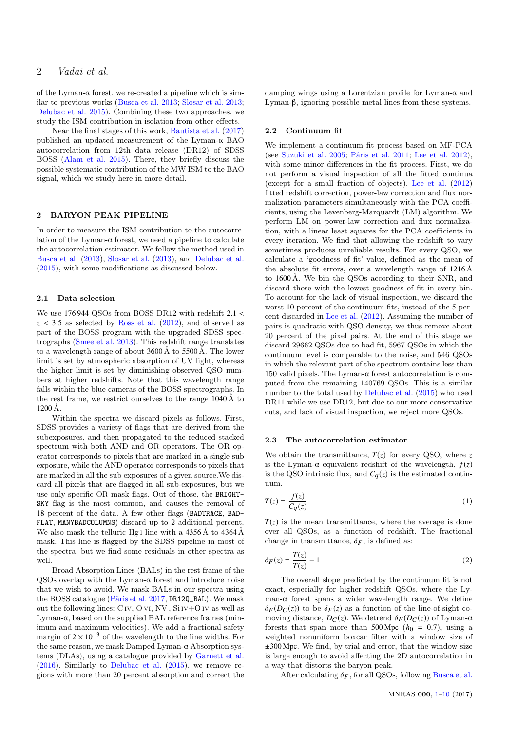# 2 Vadai et al.

of the Lyman- $\alpha$  forest, we re-created a pipeline which is similar to previous works [\(Busca et al.](#page-9-10) [2013;](#page-9-10) [Slosar et al.](#page-9-11) [2013;](#page-9-11) [Delubac et al.](#page-9-12) [2015\)](#page-9-12). Combining these two approaches, we study the ISM contribution in isolation from other effects.

Near the final stages of this work, [Bautista et al.](#page-9-20) [\(2017\)](#page-9-20) published an updated measurement of the Lyman-α BAO autocorrelation from 12th data release (DR12) of SDSS BOSS [\(Alam et al.](#page-9-21) [2015\)](#page-9-21). There, they briefly discuss the possible systematic contribution of the MW ISM to the BAO signal, which we study here in more detail.

## 2 BARYON PEAK PIPELINE

In order to measure the ISM contribution to the autocorrelation of the Lyman- $\alpha$  forest, we need a pipeline to calculate the autocorrelation estimator. We follow the method used in [Busca et al.](#page-9-10) [\(2013\)](#page-9-10), [Slosar et al.](#page-9-11) [\(2013\)](#page-9-11), and [Delubac et al.](#page-9-12) [\(2015\)](#page-9-12), with some modifications as discussed below.

#### 2.1 Data selection

We use 176 944 QSOs from BOSS DR12 with redshift <sup>2</sup>.<sup>1</sup> <  $z \leq 3.5$  as selected by [Ross et al.](#page-9-22)  $(2012)$ , and observed as part of the BOSS program with the upgraded SDSS spectrographs [\(Smee et al.](#page-9-23) [2013\)](#page-9-23). This redshift range translates to a wavelength range of about  $3600 \text{ Å}$  to  $5500 \text{ Å}$ . The lower limit is set by atmospheric absorption of UV light, whereas the higher limit is set by diminishing observed QSO numbers at higher redshifts. Note that this wavelength range falls within the blue cameras of the BOSS spectrographs. In the rest frame, we restrict ourselves to the range  $1040 \text{\AA}$  to  $1200 \mathrm{\AA}$ .

Within the spectra we discard pixels as follows. First, SDSS provides a variety of flags that are derived from the subexposures, and then propagated to the reduced stacked spectrum with both AND and OR operators. The OR operator corresponds to pixels that are marked in a single sub exposure, while the AND operator corresponds to pixels that are marked in all the sub exposures of a given source.We discard all pixels that are flagged in all sub-exposures, but we use only specific OR mask flags. Out of those, the BRIGHT-SKY flag is the most common, and causes the removal of 18 percent of the data. A few other flags (BADTRACE, BAD-FLAT, MANYBADCOLUMNS) discard up to 2 additional percent. We also mask the telluric Hg I line with a  $4356 \text{\AA}$  to  $4364 \text{\AA}$ mask. This line is flagged by the SDSS pipeline in most of the spectra, but we find some residuals in other spectra as well.

Broad Absorption Lines (BALs) in the rest frame of the  $\alpha$ SOs overlap with the Lyman- $\alpha$  forest and introduce noise that we wish to avoid. We mask BALs in our spectra using the BOSS catalogue (Pâris et al. [2017,](#page-9-9) DR12Q\_BAL). We mask out the following lines: C iv, O vi, NV , Si iv+O iv as well as Lyman-α, based on the supplied BAL reference frames (minimum and maximum velocities). We add a fractional safety margin of  $2 \times 10^{-3}$  of the wavelength to the line widths. For the same reason, we mask Damped Lyman-α Absorption systems (DLAs), using a catalogue provided by [Garnett et al.](#page-9-24) [\(2016\)](#page-9-24). Similarly to [Delubac et al.](#page-9-12) [\(2015\)](#page-9-12), we remove regions with more than 20 percent absorption and correct the

damping wings using a Lorentzian profile for Lyman-α and Lyman-β, ignoring possible metal lines from these systems.

#### 2.2 Continuum fit

We implement a continuum fit process based on MF-PCA (see [Suzuki et al.](#page-9-25) [2005;](#page-9-25) Pâris et al. [2011;](#page-9-26) [Lee et al.](#page-9-27) [2012\)](#page-9-27), with some minor differences in the fit process. First, we do not perform a visual inspection of all the fitted continua (except for a small fraction of objects). [Lee et al.](#page-9-27) [\(2012\)](#page-9-27) fitted redshift correction, power-law correction and flux normalization parameters simultaneously with the PCA coefficients, using the Levenberg-Marquardt (LM) algorithm. We perform LM on power-law correction and flux normalization, with a linear least squares for the PCA coefficients in every iteration. We find that allowing the redshift to vary sometimes produces unreliable results. For every QSO, we calculate a 'goodness of fit' value, defined as the mean of the absolute fit errors, over a wavelength range of  $1216 \, \AA$ to  $1600 \text{ Å}$ . We bin the QSOs according to their SNR, and discard those with the lowest goodness of fit in every bin. To account for the lack of visual inspection, we discard the worst 10 percent of the continuum fits, instead of the 5 percent discarded in [Lee et al.](#page-9-27) [\(2012\)](#page-9-27). Assuming the number of pairs is quadratic with QSO density, we thus remove about 20 percent of the pixel pairs. At the end of this stage we discard 29662 QSOs due to bad fit, 5967 QSOs in which the continuum level is comparable to the noise, and 546 QSOs in which the relevant part of the spectrum contains less than 150 valid pixels. The Lyman-α forest autocorrelation is computed from the remaining 140769 QSOs. This is a similar number to the total used by [Delubac et al.](#page-9-12) [\(2015\)](#page-9-12) who used DR11 while we use DR12, but due to our more conservative cuts, and lack of visual inspection, we reject more QSOs.

#### 2.3 The autocorrelation estimator

We obtain the transmittance,  $T(z)$  for every QSO, where  $z$ is the Lyman- $\alpha$  equivalent redshift of the wavelength,  $f(z)$ is the QSO intrinsic flux, and  $C_q(z)$  is the estimated continuum.

$$
T(z) = \frac{f(z)}{C_q(z)}\tag{1}
$$

 $\overline{T}(z)$  is the mean transmittance, where the average is done over all QSOs, as a function of redshift. The fractional change in transmittance,  $\delta_F$ , is defined as:

$$
\delta_F(z) = \frac{T(z)}{\bar{T}(z)} - 1\tag{2}
$$

The overall slope predicted by the continuum fit is not exact, especially for higher redshift QSOs, where the Lyman- $\alpha$  forest spans a wider wavelength range. We define  $\delta_F(D_C(z))$  to be  $\delta_F(z)$  as a function of the line-of-sight comoving distance,  $D_C(z)$ . We detrend  $\delta_F(D_C(z))$  of Lyman- $\alpha$ forests that span more than 500 Mpc  $(h_0 = 0.7)$ , using a weighted nonuniform boxcar filter with a window size of ±300 Mpc. We find, by trial and error, that the window size is large enough to avoid affecting the 2D autocorrelation in a way that distorts the baryon peak.

After calculating  $\delta_F$ , for all QSOs, following [Busca et al.](#page-9-10)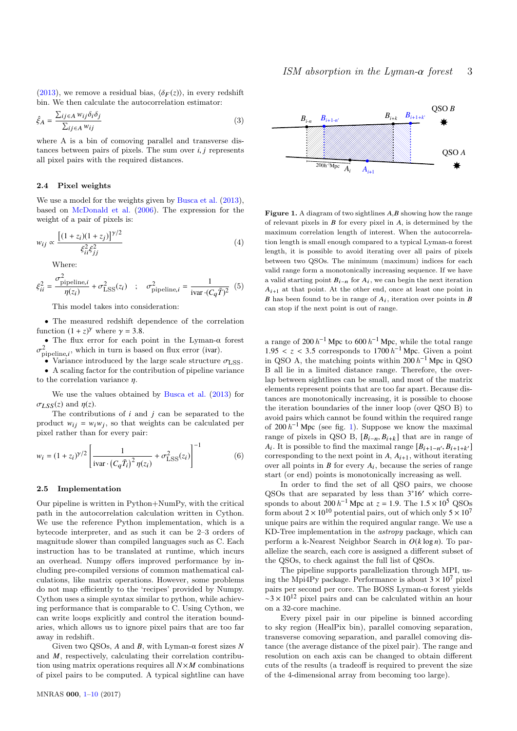$$
\hat{\xi}_A = \frac{\sum_{ij \in A} w_{ij} \delta_i \delta_j}{\sum_{ij \in A} w_{ij}}\tag{3}
$$

where A is a bin of comoving parallel and transverse distances between pairs of pixels. The sum over *<sup>i</sup>*, *<sup>j</sup>* represents all pixel pairs with the required distances.

# 2.4 Pixel weights

We use a model for the weights given by [Busca et al.](#page-9-10) [\(2013\)](#page-9-10), based on [McDonald et al.](#page-9-28) [\(2006\)](#page-9-28). The expression for the weight of a pair of pixels is:

$$
w_{ij} \propto \frac{\left[ (1+z_i)(1+z_j) \right]^{\gamma/2}}{\xi_{ii}^2 \xi_{jj}^2} \tag{4}
$$

Where:

$$
\xi_{ii}^2 = \frac{\sigma_{\text{pipeline},i}^2}{\eta(z_i)} + \sigma_{\text{LSS}}^2(z_i) \quad ; \quad \sigma_{\text{pipeline},i}^2 = \frac{1}{i \text{var} \cdot (C_q \bar{T})^2} \tag{5}
$$

This model takes into consideration:

• The measured redshift dependence of the correlation function  $(1 + z)^\gamma$  where  $\gamma = 3.8$ .

• The flux error for each point in the Lyman-α forest 2<br>pipeline,*i* which in turn is based on flux error (ivar).<br>A Variance introduced by the large scale structure

Variance introduced by the large scale structure  $\sigma_{\text{LSS}}$ . • A scaling factor for the contribution of pipeline variance

to the correlation variance  $\eta$ .

We use the values obtained by [Busca et al.](#page-9-10) [\(2013\)](#page-9-10) for  $\sigma_{LSS}(z)$  and  $\eta(z)$ .

The contributions of *i* and *j* can be separated to the product  $w_{ij} = w_i w_j$ , so that weights can be calculated per pixel rather than for every pair:

$$
w_i = (1 + z_i)^{\gamma/2} \left[ \frac{1}{i \text{var} \cdot (C_q \bar{T}_i)^2 \eta(z_i)} + \sigma_{\text{LSS}}^2(z_i) \right]^{-1} \tag{6}
$$

#### 2.5 Implementation

Our pipeline is written in Python+NumPy, with the critical path in the autocorrelation calculation written in Cython. We use the reference Python implementation, which is a bytecode interpreter, and as such it can be 2–3 orders of magnitude slower than compiled languages such as C. Each instruction has to be translated at runtime, which incurs an overhead. Numpy offers improved performance by including pre-compiled versions of common mathematical calculations, like matrix operations. However, some problems do not map efficiently to the 'recipes' provided by Numpy. Cython uses a simple syntax similar to python, while achieving performance that is comparable to C. Using Cython, we can write loops explicitly and control the iteration boundaries, which allows us to ignore pixel pairs that are too far away in redshift.  $\xi_A = \frac{\omega_{12} \times \omega_{12} \times \omega_{13}}{\sum_{13} \omega_{13} \times \omega_{14} \times \omega_{15} \times \omega_{16} \times \omega_{17} \times \omega_{18} \times \omega_{19} \times \omega_{10} \times \omega_{10} \times \omega_{10} \times \omega_{10} \times \omega_{10} \times \omega_{10} \times \omega_{10} \times \omega_{10} \times \omega_{11} \times \omega_{12} \times \omega_{13} \times \omega_{14} \times \omega_{15} \times \omega_{16} \times \omega_{17} \times \omega_{18} \times \omega$ 

Given two QSOs, *A* and *B*, with Lyman-α forest sizes *N* and *M*, respectively, calculating their correlation contribution using matrix operations requires all *N*×*M* combinations



<span id="page-2-0"></span>Figure 1. A diagram of two sightlines  $A, B$  showing how the range of relevant pixels in  $B$  for every pixel in  $A$ , is determined by the maximum correlation length of interest. When the autocorrelation length is small enough compared to a typical Lyman-α forest length, it is possible to avoid iterating over all pairs of pixels between two QSOs. The minimum (maximum) indices for each valid range form a monotonically increasing sequence. If we have a valid starting point  $B_{i-n}$  for  $A_i$ , we can begin the next iteration  $A_{i+1}$  at that point. At the other end, once at least one point in  $B$  has been found to be in range of  $A_i$ , iteration over points in  $B$ can stop if the next point is out of range.

a range of 200  $h^{-1}$  Mpc to 600  $h^{-1}$  Mpc, while the total range 1.95 <  $z < 3.5$  corresponds to 1700  $h^{-1}$  Mpc. Given a point<br>in OSO A, the matching points within 200  $h^{-1}$  Mpc in OSO in QSO A, the matching points within  $200 h^{-1}$  Mpc in QSO B all lie in a limited distance range. Therefore, the overlap between sightlines can be small, and most of the matrix elements represent points that are too far apart. Because distances are monotonically increasing, it is possible to choose the iteration boundaries of the inner loop (over QSO B) to avoid pairs which cannot be found within the required range of 200  $h^{-1}$  Mpc (see fig. [1\)](#page-2-0). Suppose we know the maximal range of pixels in QSO B,  $[B_{i-n}, B_{i+k}]$  that are in range of *A*<sub>i</sub>. It is possible to find the maximal range  $[B_{i+1-n}, B_{i+1+k}]$ <br>corresponding to the next point in *A*<sub>i</sub> *A*<sub>i</sub>, without iterating corresponding to the next point in  $A$ ,  $A_{i+1}$ , without iterating over all points in  $B$  for every  $A_i$ , because the series of range start (or end) points is monotonically increasing as well.

In order to find the set of all QSO pairs, we choose QSOs that are separated by less than  $3^{\circ}16'$  which corresponds to about  $200 h^{-1}$  Mpc at  $z = 1.9$ . The  $1.5 \times 10^5$  QSOs form about  $2 \times 10^{10}$  potential pairs, out of which only  $5 \times 10^7$ unique pairs are within the required angular range. We use a KD-Tree implementation in the astropy package, which can perform a k-Nearest Neighbor Search in *O*(*k* log *n*). To parallelize the search, each core is assigned a different subset of the QSOs, to check against the full list of QSOs.

The pipeline supports parallelization through MPI, using the Mpi4Py package. Performance is about  $3 \times 10^7$  pixel pairs per second per core. The BOSS Lyman-α forest yields  $\sim$ 3 × 10<sup>12</sup> pixel pairs and can be calculated within an hour on a 32-core machine.

Every pixel pair in our pipeline is binned according to sky region (HealPix bin), parallel comoving separation, transverse comoving separation, and parallel comoving distance (the average distance of the pixel pair). The range and resolution on each axis can be changed to obtain different cuts of the results (a tradeoff is required to prevent the size of the 4-dimensional array from becoming too large).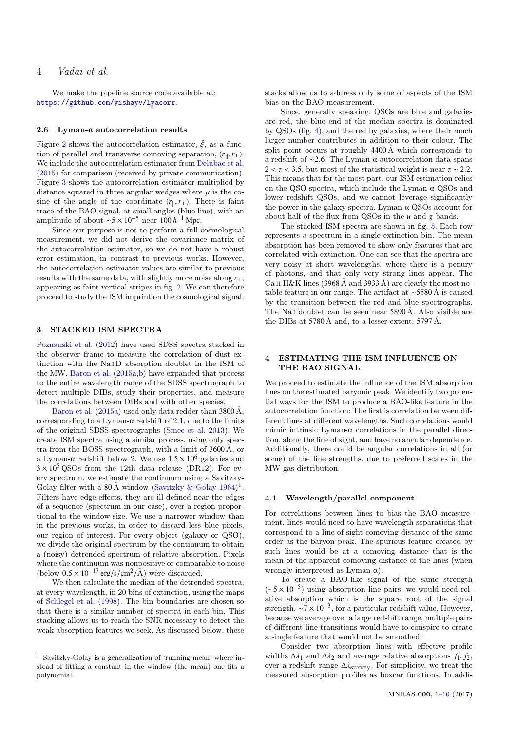# 4 Vadai et al.

We make the pipeline source code available at: <https://github.com/yishayv/lyacorr>.

## 2.6 Lyman- $\alpha$  autocorrelation results

Figure [2](#page-4-0) shows the autocorrelation estimator,  $\hat{\xi}$ , as a function of parallel and transverse comoving separation,  $(r_{\parallel}, r_{\perp})$ .<br>We include the autocorrelation estimator from Delubes et al. We include the autocorrelation estimator from [Delubac et al.](#page-9-12) [\(2015\)](#page-9-12) for comparison (received by private communication). Figure [3](#page-4-1) shows the autocorrelation estimator multiplied by distance squared in three angular wedges where  $\mu$  is the cosine of the angle of the coordinate  $(r_{\parallel}, r_{\perp})$ . There is faint trace of the BAO signal, at small angles (blue line), with an trace of the BAO signal, at small angles (blue line), with an amplitude of about ~5 × 10<sup>-5</sup> near 100  $h^{-1}$  Mpc.

Since our purpose is not to perform a full cosmological measurement, we did not derive the covariance matrix of the autocorrelation estimator, so we do not have a robust error estimation, in contrast to previous works. However, the autocorrelation estimator values are similar to previous results with the same data, with slightly more noise along *r*⊥, appearing as faint vertical stripes in fig. [2.](#page-4-0) We can therefore proceed to study the ISM imprint on the cosmological signal.

## 3 STACKED ISM SPECTRA

[Poznanski et al.](#page-9-15) [\(2012\)](#page-9-15) have used SDSS spectra stacked in the observer frame to measure the correlation of dust extinction with the Na i D absorption doublet in the ISM of the MW. [Baron et al.](#page-9-16) [\(2015a,](#page-9-16)[b\)](#page-9-17) have expanded that process to the entire wavelength range of the SDSS spectrograph to detect multiple DIBs, study their properties, and measure the correlations between DIBs and with other species.

[Baron et al.](#page-9-16)  $(2015a)$  used only data redder than 3800 Å, corresponding to a Lyman- $\alpha$  redshift of 2.1, due to the limits of the original SDSS spectrographs [\(Smee et al.](#page-9-23) [2013\)](#page-9-23). We create ISM spectra using a similar process, using only spectra from the BOSS spectrograph, with a limit of  $3600 \text{ Å}$ , or a Lyman- $\alpha$  redshift below 2. We use  $1.5 \times 10^6$  galaxies and  $3 \times 10^5$  QSOs from the 12th data release (DR12). For every spectrum, we estimate the continuum using a Savitzky-Golay filter with a  $80 \text{\AA}$  window [\(Savitzky & Golay](#page-9-29) [1964\)](#page-9-29)<sup>[1](#page-3-0)</sup>. Filters have edge effects, they are ill defined near the edges of a sequence (spectrum in our case), over a region proportional to the window size. We use a narrower window than in the previous works, in order to discard less blue pixels, our region of interest. For every object (galaxy or QSO), we divide the original spectrum by the continuum to obtain a (noisy) detrended spectrum of relative absorption. Pixels where the continuum was nonpositive or comparable to noise (below  $0.5 \times 10^{-17}$  erg/s/cm<sup>2</sup>/Å) were discarded.<br>We then calculate the median of the detron

We then calculate the median of the detrended spectra, at every wavelength, in 20 bins of extinction, using the maps of [Schlegel et al.](#page-9-30) [\(1998\)](#page-9-30). The bin boundaries are chosen so that there is a similar number of spectra in each bin. This stacking allows us to reach the SNR necessary to detect the weak absorption features we seek. As discussed below, these

stacks allow us to address only some of aspects of the ISM bias on the BAO measurement.

Since, generally speaking, QSOs are blue and galaxies are red, the blue end of the median spectra is dominated by QSOs (fig. [4\)](#page-4-2), and the red by galaxies, where their much larger number contributes in addition to their colour. The split point occurs at roughly  $4400 \text{\AA}$  which corresponds to a redshift of <sup>∼</sup>2.6. The Lyman-<sup>α</sup> autocorrelation data spans <sup>2</sup> < *<sup>z</sup>* < <sup>3</sup>.5, but most of the statistical weight is near *<sup>z</sup>* <sup>∼</sup> <sup>2</sup>.2. This means that for the most part, our ISM estimation relies on the QSO spectra, which include the Lyman-α QSOs and lower redshift QSOs, and we cannot leverage significantly the power in the galaxy spectra. Lyman-α QSOs account for about half of the flux from QSOs in the *u* and g bands.

The stacked ISM spectra are shown in fig. [5.](#page-5-0) Each row represents a spectrum in a single extinction bin. The mean absorption has been removed to show only features that are correlated with extinction. One can see that the spectra are very noisy at short wavelengths, where there is a penury of photons, and that only very strong lines appear. The Ca II H&K lines (3968 Å and 3933 Å) are clearly the most notable feature in our range. The artifact at ∼5580 Å is caused by the transition between the red and blue spectrographs. The Na<sub>I</sub> doublet can be seen near  $5890 \text{\AA}$ . Also visible are the DIBs at  $5780 \text{\AA}$  and, to a lesser extent,  $5797 \text{\AA}$ .

## 4 ESTIMATING THE ISM INFLUENCE ON THE BAO SIGNAL

We proceed to estimate the influence of the ISM absorption lines on the estimated baryonic peak. We identify two potential ways for the ISM to produce a BAO-like feature in the autocorrelation function: The first is correlation between different lines at different wavelengths. Such correlations would mimic intrinsic Lyman- $\alpha$  correlations in the parallel direction, along the line of sight, and have no angular dependence. Additionally, there could be angular correlations in all (or some) of the line strengths, due to preferred scales in the MW gas distribution.

## <span id="page-3-1"></span>4.1 Wavelength/parallel component

For correlations between lines to bias the BAO measurement, lines would need to have wavelength separations that correspond to a line-of-sight comoving distance of the same order as the baryon peak. The spurious feature created by such lines would be at a comoving distance that is the mean of the apparent comoving distance of the lines (when wrongly interpreted as  $Lyman-\alpha$ ).

To create a BAO-like signal of the same strength (∼5 × 10−<sup>5</sup> ) using absorption line pairs, we would need relative absorption which is the square root of the signal strength,  $\sim$ 7 × 10<sup>-3</sup>, for a particular redshift value. However, because we average over a large redshift range, multiple pairs of different line transitions would have to conspire to create a single feature that would not be smoothed.

Consider two absorption lines with effective profile widths  $\Delta \lambda_1$  and  $\Delta \lambda_2$  and average relative absorptions  $f_1, f_2$ , over a redshift range  $\Delta \lambda_{\rm survey}$ . For simplicity, we treat the measured absorption profiles as boxcar functions. In addi-

<span id="page-3-0"></span><sup>1</sup> Savitzky-Golay is a generalization of 'running mean' where instead of fitting a constant in the window (the mean) one fits a polynomial.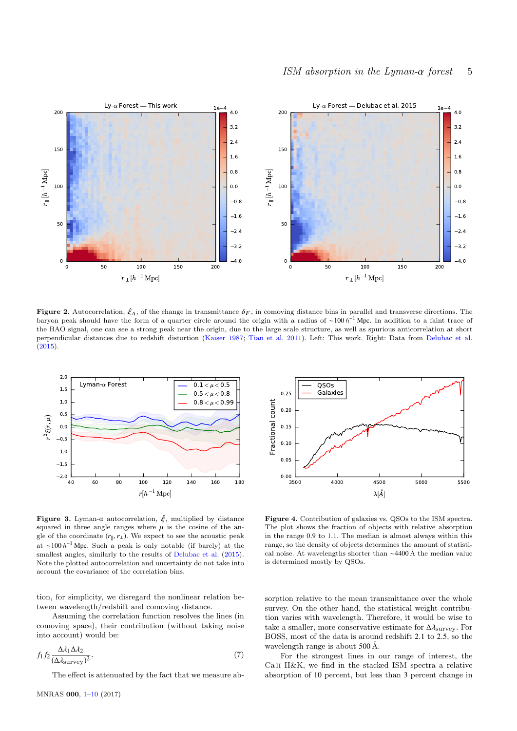

 $\overline{0}$ 

<span id="page-4-0"></span>**Figure 2.** Autocorrelation,  $\hat{\xi}_A$ , of the change in transmittance  $\delta_F$ , in comoving distance bins in parallel and transverse directions. The baryon peak should have the form of a quarter circle around the origin with a radius of ∼100 h <sup>−</sup><sup>1</sup> Mpc. In addition to a faint trace of the BAO signal, one can see a strong peak near the origin, due to the large scale structure, as well as spurious anticorrelation at short perpendicular distances due to redshift distortion [\(Kaiser](#page-9-31) [1987;](#page-9-31) [Tian et al.](#page-9-32) [2011\)](#page-9-32). Left: This work. Right: Data from [Delubac et al.](#page-9-12) [\(2015\)](#page-9-12).

 $-4.0$  $-3.2$  $-2.4$ 



0 50 100 150 200  $r_\perp [h^{-1}\,{\rm Mpc}]$ 

0

<span id="page-4-1"></span>**Figure 3.** Lyman-α autocorrelation,  $\hat{\xi}$ , multiplied by distance squared in three angle ranges where  $\mu$  is the cosine of the angle of the coordinate  $(r_{\parallel}, r_{\perp})$ . We expect to see the acoustic peak at ~100  $h^{-1}$  Mpc. Such a peak is only notable (if barely) at the smallest angles, similarly to the results of [Delubac et al.](#page-9-12)  $(2015)$ . Note the plotted autocorrelation and uncertainty do not take into account the covariance of the correlation bins.

tion, for simplicity, we disregard the nonlinear relation between wavelength/redshift and comoving distance.

Assuming the correlation function resolves the lines (in comoving space), their contribution (without taking noise into account) would be:

$$
f_1 f_2 \frac{\Delta \lambda_1 \Delta \lambda_2}{(\Delta \lambda_{\text{survey}})^2}.
$$
 (7)

The effect is attenuated by the fact that we measure ab-



0 50 100 150 200  $r_\perp [h^{-1}\,{\rm Mpc}]$ 

 $-4.0$  $-3.2$  $-2.4$ 

<span id="page-4-2"></span>Figure 4. Contribution of galaxies vs. QSOs to the ISM spectra. The plot shows the fraction of objects with relative absorption in the range <sup>0</sup>.<sup>9</sup> to <sup>1</sup>.1. The median is almost always within this range, so the density of objects determines the amount of statistical noise. At wavelengths shorter than ∼4400 Å the median value is determined mostly by QSOs.

sorption relative to the mean transmittance over the whole survey. On the other hand, the statistical weight contribution varies with wavelength. Therefore, it would be wise to take a smaller, more conservative estimate for  $\Delta \lambda_{\text{survey}}$ . For BOSS, most of the data is around redshift <sup>2</sup>.<sup>1</sup> to <sup>2</sup>.5, so the wavelength range is about  $500 \text{\AA}$ .

For the strongest lines in our range of interest, the Ca ii H&K, we find in the stacked ISM spectra a relative absorption of 10 percent, but less than 3 percent change in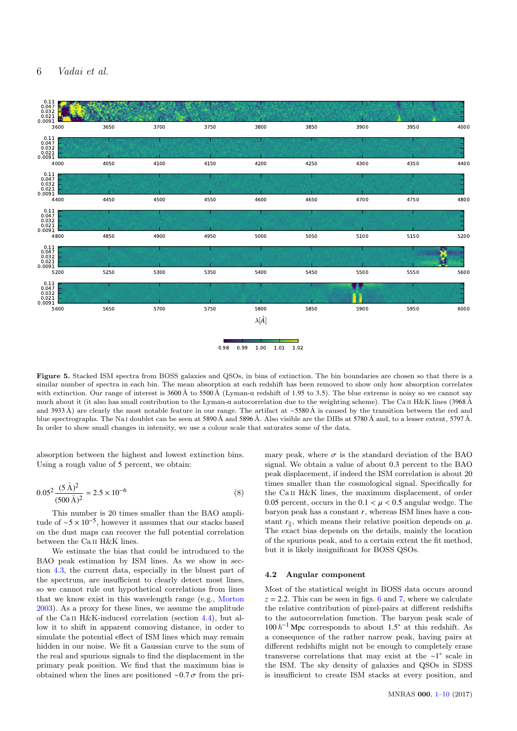

Figure 5. Stacked ISM spectra from BOSS galaxies and QSOs, in bins of extinction. The bin boundaries are chosen so that there is a similar number of spectra in each bin. The mean absorption at each redshift has been removed to show only how absorption correlates with extinction. Our range of interest is 3600 Å to 5500 Å (Lyman- $\alpha$  redshift of 1.95 to 3.5). The blue extreme is noisy so we cannot say much about it (it also has small contribution to the Lyman- $\alpha$  autocorrelation due to the weighting scheme). The Ca II H&K lines (3968 Å and 3933 A) are clearly the most notable feature in our range. The artifact at ∼5580 A is caused by the transition between the red and blue spectrographs. The Na<sub>I</sub> doublet can be seen at 5890 Å and 5896 Å. Also visible are the DIBs at 5780 Å and, to a lesser extent, 5797 Å. In order to show small changes in intensity, we use a colour scale that saturates some of the data.

absorption between the highest and lowest extinction bins. Using a rough value of 5 percent, we obtain:

$$
0.05^2 \frac{(5 \text{ Å})^2}{(500 \text{ Å})^2} = 2.5 \times 10^{-6}
$$
 (8)

This number is 20 times smaller than the BAO amplitude of  $\sim$ 5 × 10<sup>-5</sup>, however it assumes that our stacks based on the dust maps can recover the full potential correlation between the Ca ii H&K lines.

We estimate the bias that could be introduced to the BAO peak estimation by ISM lines. As we show in section [4.3,](#page-6-0) the current data, especially in the bluest part of the spectrum, are insufficient to clearly detect most lines, so we cannot rule out hypothetical correlations from lines that we know exist in this wavelength range (e.g., [Morton](#page-9-33) [2003\)](#page-9-33). As a proxy for these lines, we assume the amplitude of the Ca II H&K-induced correlation (section [4.4\)](#page-7-0), but allow it to shift in apparent comoving distance, in order to simulate the potential effect of ISM lines which may remain hidden in our noise. We fit a Gaussian curve to the sum of the real and spurious signals to find the displacement in the primary peak position. We find that the maximum bias is obtained when the lines are positioned <sup>∼</sup>0.<sup>7</sup> σ from the pri-

<span id="page-5-0"></span>mary peak, where  $\sigma$  is the standard deviation of the BAO signal. We obtain a value of about <sup>0</sup>.<sup>3</sup> percent to the BAO peak displacement, if indeed the ISM correlation is about 20 times smaller than the cosmological signal. Specifically for the Ca ii H&K lines, the maximum displacement, of order 0.05 percent, occurs in the  $0.1 < \mu < 0.5$  angular wedge. The baryon peak has a constant *r*, whereas ISM lines have a constant  $r_{\parallel}$ , which means their relative position depends on  $\mu$ .<br>The exact hiss depends on the details mainly the location The exact bias depends on the details, mainly the location of the spurious peak, and to a certain extent the fit method, but it is likely insignificant for BOSS QSOs.

#### <span id="page-5-1"></span>4.2 Angular component

Most of the statistical weight in BOSS data occurs around  $z = 2.2$ . This can be seen in figs. [6](#page-6-1) and [7,](#page-6-2) where we calculate the relative contribution of pixel-pairs at different redshifts to the autocorrelation function. The baryon peak scale of  $100 h^{-1}$  Mpc corresponds to about 1.5° at this redshift. As a consequence of the rather narrow peak, having pairs at different redshifts might not be enough to completely erase transverse correlations that may exist at the ∼1° scale in the ISM. The sky density of galaxies and QSOs in SDSS is insufficient to create ISM stacks at every position, and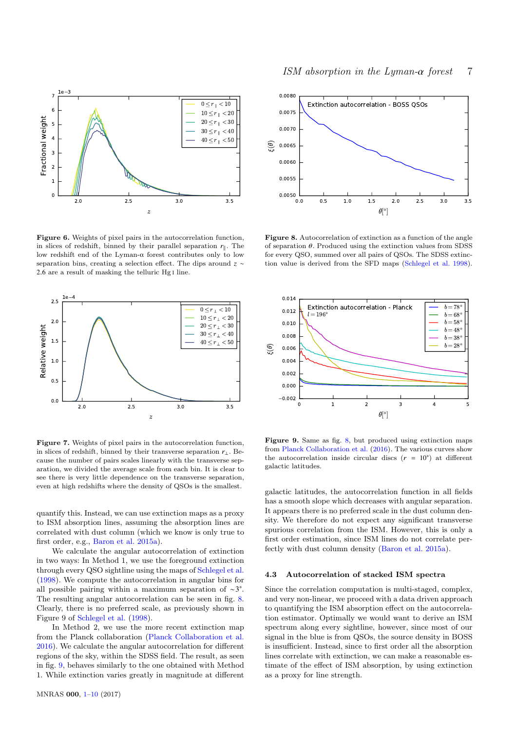

<span id="page-6-1"></span>Figure 6. Weights of pixel pairs in the autocorrelation function. in slices of redshift, binned by their parallel separation  $r_{\parallel}$ . The low redshift end of the Lyman-α forest contributes only to low separation bins, creating a selection effect. The dips around z ∼ <sup>2</sup>.<sup>6</sup> are a result of masking the telluric Hg <sup>i</sup> line.



<span id="page-6-2"></span>Figure 7. Weights of pixel pairs in the autocorrelation function, in slices of redshift, binned by their transverse separation  $r_{\perp}$ . Because the number of pairs scales linearly with the transverse separation, we divided the average scale from each bin. It is clear to see there is very little dependence on the transverse separation, even at high redshifts where the density of QSOs is the smallest.

quantify this. Instead, we can use extinction maps as a proxy to ISM absorption lines, assuming the absorption lines are correlated with dust column (which we know is only true to first order, e.g., [Baron et al.](#page-9-16) [2015a\)](#page-9-16).

We calculate the angular autocorrelation of extinction in two ways: In Method 1, we use the foreground extinction through every QSO sightline using the maps of [Schlegel et al.](#page-9-30) [\(1998\)](#page-9-30). We compute the autocorrelation in angular bins for all possible pairing within a maximum separation of ∼3°. The resulting angular autocorrelation can be seen in fig. [8.](#page-6-3) Clearly, there is no preferred scale, as previously shown in Figure 9 of [Schlegel et al.](#page-9-30) [\(1998\)](#page-9-30).

In Method 2, we use the more recent extinction map from the Planck collaboration [\(Planck Collaboration et al.](#page-9-34) [2016\)](#page-9-34). We calculate the angular autocorrelation for different regions of the sky, within the SDSS field. The result, as seen in fig. [9,](#page-6-4) behaves similarly to the one obtained with Method 1. While extinction varies greatly in magnitude at different



<span id="page-6-3"></span>Figure 8. Autocorrelation of extinction as a function of the angle of separation  $\theta$ . Produced using the extinction values from SDSS for every QSO, summed over all pairs of QSOs. The SDSS extinction value is derived from the SFD maps [\(Schlegel et al.](#page-9-30) [1998\)](#page-9-30).



<span id="page-6-4"></span>Figure 9. Same as fig. [8,](#page-6-3) but produced using extinction maps from [Planck Collaboration et al.](#page-9-34) [\(2016\)](#page-9-34). The various curves show the autocorrelation inside circular discs  $(r = 10^{\circ})$  at different galactic latitudes.

galactic latitudes, the autocorrelation function in all fields has a smooth slope which decreases with angular separation. It appears there is no preferred scale in the dust column density. We therefore do not expect any significant transverse spurious correlation from the ISM. However, this is only a first order estimation, since ISM lines do not correlate perfectly with dust column density [\(Baron et al.](#page-9-16) [2015a\)](#page-9-16).

## <span id="page-6-0"></span>4.3 Autocorrelation of stacked ISM spectra

Since the correlation computation is multi-staged, complex, and very non-linear, we proceed with a data driven approach to quantifying the ISM absorption effect on the autocorrelation estimator. Optimally we would want to derive an ISM spectrum along every sightline, however, since most of our signal in the blue is from QSOs, the source density in BOSS is insufficient. Instead, since to first order all the absorption lines correlate with extinction, we can make a reasonable estimate of the effect of ISM absorption, by using extinction as a proxy for line strength.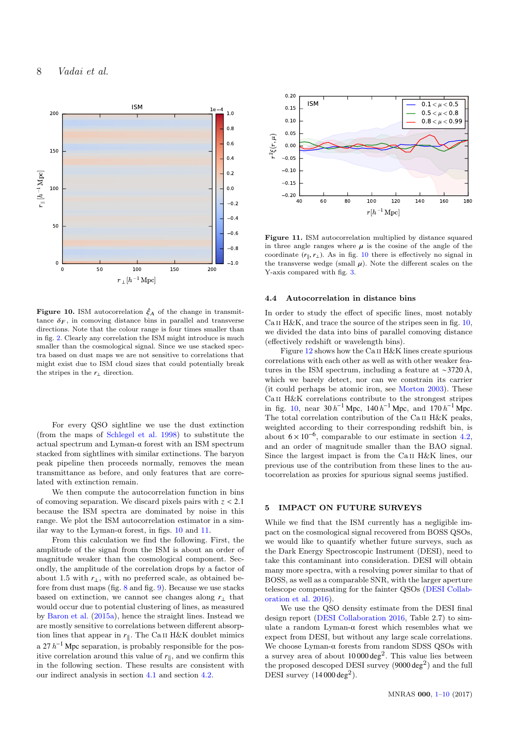

<span id="page-7-1"></span>**Figure 10.** ISM autocorrelation  $\hat{\xi}_A$  of the change in transmittance  $\delta_F$ , in comoving distance bins in parallel and transverse directions. Note that the colour range is four times smaller than in fig. [2.](#page-4-0) Clearly any correlation the ISM might introduce is much smaller than the cosmological signal. Since we use stacked spectra based on dust maps we are not sensitive to correlations that might exist due to ISM cloud sizes that could potentially break the stripes in the  $r_{\perp}$  direction.

For every QSO sightline we use the dust extinction (from the maps of [Schlegel et al.](#page-9-30) [1998\)](#page-9-30) to substitute the actual spectrum and Lyman-α forest with an ISM spectrum stacked from sightlines with similar extinctions. The baryon peak pipeline then proceeds normally, removes the mean transmittance as before, and only features that are correlated with extinction remain.

We then compute the autocorrelation function in bins of comoving separation. We discard pixels pairs with *<sup>z</sup>* < <sup>2</sup>.<sup>1</sup> because the ISM spectra are dominated by noise in this range. We plot the ISM autocorrelation estimator in a sim-ilar way to the Lyman-α forest, in figs. [10](#page-7-1) and [11.](#page-7-2)

From this calculation we find the following. First, the amplitude of the signal from the ISM is about an order of magnitude weaker than the cosmological component. Secondly, the amplitude of the correlation drops by a factor of about 1.5 with  $r_{\perp}$ , with no preferred scale, as obtained before from dust maps (fig. [8](#page-6-3) and fig. [9\)](#page-6-4). Because we use stacks based on extinction, we cannot see changes along  $r_1$  that would occur due to potential clustering of lines, as measured by [Baron et al.](#page-9-16) [\(2015a\)](#page-9-16), hence the straight lines. Instead we are mostly sensitive to correlations between different absorption lines that appear in  $r_{\parallel}$ . The Ca II H&K doublet mimics a 27 $h^{-1}$  Mpc separation, is probably responsible for the positive correlation around this value of  $r_{\parallel}$ , and we confirm this in the following section. These results are consistent with our indirect analysis in section [4.1](#page-3-1) and section [4.2.](#page-5-1)



<span id="page-7-2"></span>Figure 11. ISM autocorrelation multiplied by distance squared in three angle ranges where  $\mu$  is the cosine of the angle of the coordinate  $(r_{\parallel}, r_{\perp})$ . As in fig. [10](#page-7-1) there is effectively no signal in the transverse wedge (small u). Note the different scales on the the transverse wedge (small  $\mu$ ). Note the different scales on the Y-axis compared with fig. [3.](#page-4-1)

#### <span id="page-7-0"></span>4.4 Autocorrelation in distance bins

In order to study the effect of specific lines, most notably Ca II H&K, and trace the source of the stripes seen in fig.  $10$ , we divided the data into bins of parallel comoving distance (effectively redshift or wavelength bins).

Figure [12](#page-8-0) shows how the Ca II H&K lines create spurious correlations with each other as well as with other weaker features in the ISM spectrum, including a feature at  $\sim$ 3720 Å, which we barely detect, nor can we constrain its carrier (it could perhaps be atomic iron, see [Morton](#page-9-33) [2003\)](#page-9-33). These Ca ii H&K correlations contribute to the strongest stripes in fig. [10,](#page-7-1) near  $30 h^{-1}$  Mpc,  $140 h^{-1}$  Mpc, and  $170 h^{-1}$  Mpc. The total correlation contribution of the Ca ii H&K peaks, weighted according to their corresponding redshift bin, is about  $6 \times 10^{-6}$ , comparable to our estimate in section [4.2,](#page-5-1) and an order of magnitude smaller than the BAO signal. Since the largest impact is from the Ca ii H&K lines, our previous use of the contribution from these lines to the autocorrelation as proxies for spurious signal seems justified.

# 5 IMPACT ON FUTURE SURVEYS

While we find that the ISM currently has a negligible impact on the cosmological signal recovered from BOSS QSOs, we would like to quantify whether future surveys, such as the Dark Energy Spectroscopic Instrument (DESI), need to take this contaminant into consideration. DESI will obtain many more spectra, with a resolving power similar to that of BOSS, as well as a comparable SNR, with the larger aperture telescope compensating for the fainter QSOs [\(DESI Collab](#page-9-35)[oration et al.](#page-9-35) [2016\)](#page-9-35).

We use the QSO density estimate from the DESI final design report [\(DESI Collaboration](#page-9-36) [2016,](#page-9-36) Table 2.7) to simulate a random Lyman- $\alpha$  forest which resembles what we expect from DESI, but without any large scale correlations. We choose Lyman- $\alpha$  forests from random SDSS QSOs with a survey area of about  $10000 \text{ deg}^2$ . This value lies between the proposed descoped DESI survey  $(9000 \text{ deg}^2)$  and the full DESI survey  $(14000 \text{ deg}^2)$ .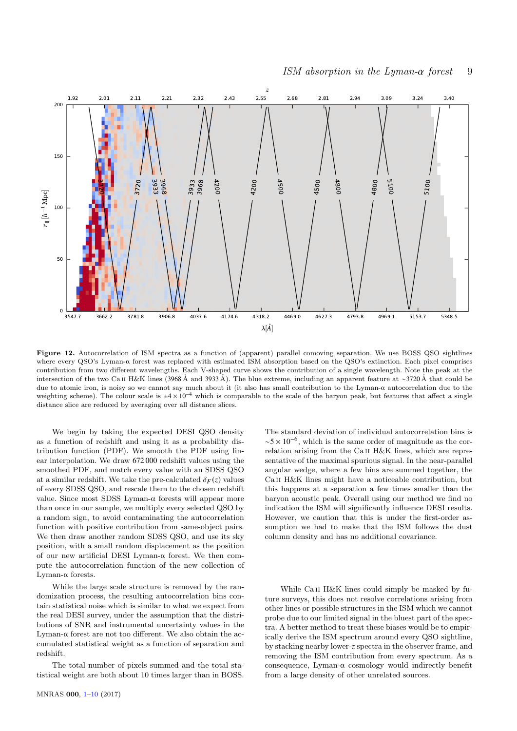

Figure 12. Autocorrelation of ISM spectra as a function of (apparent) parallel comoving separation. We use BOSS QSO sightlines where every QSO's Lyman-α forest was replaced with estimated ISM absorption based on the QSO's extinction. Each pixel comprises contribution from two different wavelengths. Each V-shaped curve shows the contribution of a single wavelength. Note the peak at the intersection of the two Ca II H&K lines (3968 Å and 3933 Å). The blue extreme, including an apparent feature at ∼3720 Å that could be due to atomic iron, is noisy so we cannot say much about it (it also has small contribution to the Lyman-α autocorrelation due to the weighting scheme). The colour scale is  $\pm 4 \times 10^{-4}$  which is comparable to the scale of the baryon peak, but features that affect a single distance slice are reduced by averaging over all distance slices.

We begin by taking the expected DESI QSO density as a function of redshift and using it as a probability distribution function (PDF). We smooth the PDF using linear interpolation. We draw 672 000 redshift values using the smoothed PDF, and match every value with an SDSS QSO at a similar redshift. We take the pre-calculated  $\delta_F(z)$  values of every SDSS QSO, and rescale them to the chosen redshift value. Since most SDSS Lyman-α forests will appear more than once in our sample, we multiply every selected QSO by a random sign, to avoid contaminating the autocorrelation function with positive contribution from same-object pairs. We then draw another random SDSS QSO, and use its sky position, with a small random displacement as the position of our new artificial DESI Lyman-α forest. We then compute the autocorrelation function of the new collection of Lyman-α forests.

While the large scale structure is removed by the randomization process, the resulting autocorrelation bins contain statistical noise which is similar to what we expect from the real DESI survey, under the assumption that the distributions of SNR and instrumental uncertainty values in the Lyman-α forest are not too different. We also obtain the accumulated statistical weight as a function of separation and redshift.

The total number of pixels summed and the total statistical weight are both about 10 times larger than in BOSS. <span id="page-8-0"></span>The standard deviation of individual autocorrelation bins is  $~\sim$ 5 × 10<sup>-6</sup>, which is the same order of magnitude as the correlation arising from the Ca ii H&K lines, which are representative of the maximal spurious signal. In the near-parallel angular wedge, where a few bins are summed together, the Ca ii H&K lines might have a noticeable contribution, but this happens at a separation a few times smaller than the baryon acoustic peak. Overall using our method we find no indication the ISM will significantly influence DESI results. However, we caution that this is under the first-order assumption we had to make that the ISM follows the dust column density and has no additional covariance.

While Ca II H&K lines could simply be masked by future surveys, this does not resolve correlations arising from other lines or possible structures in the ISM which we cannot probe due to our limited signal in the bluest part of the spectra. A better method to treat these biases would be to empirically derive the ISM spectrum around every QSO sightline, by stacking nearby lower-*z* spectra in the observer frame, and removing the ISM contribution from every spectrum. As a consequence, Lyman-α cosmology would indirectly benefit from a large density of other unrelated sources.